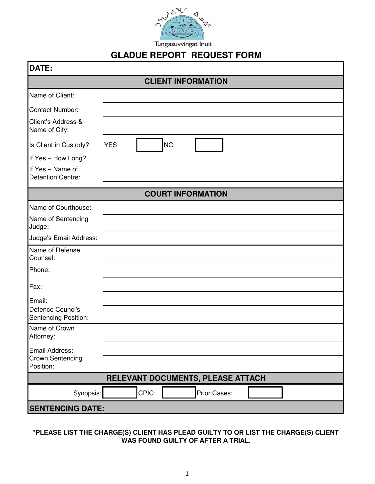

## **GLADUE REPORT REQUEST FORM**

| <b>DATE:</b>                                       |                          |  |
|----------------------------------------------------|--------------------------|--|
| <b>CLIENT INFORMATION</b>                          |                          |  |
| Name of Client:                                    |                          |  |
| <b>Contact Number:</b>                             |                          |  |
| Client's Address &<br>Name of City:                |                          |  |
| Is Client in Custody?                              | <b>NO</b><br><b>YES</b>  |  |
| If Yes - How Long?                                 |                          |  |
| If Yes - Name of<br><b>Detention Centre:</b>       |                          |  |
|                                                    | <b>COURT INFORMATION</b> |  |
| Name of Courthouse:                                |                          |  |
| Name of Sentencing<br>Judge:                       |                          |  |
| Judge's Email Address:                             |                          |  |
| Name of Defense<br>Counsel:                        |                          |  |
| Phone:                                             |                          |  |
| Fax:                                               |                          |  |
| Email:<br>Defence Counci's<br>Sentencing Position: |                          |  |
| Name of Crown<br>Attorney:                         |                          |  |
| Email Address:<br>Crown Sentencing<br>Position:    |                          |  |
| RELEVANT DOCUMENTS, PLEASE ATTACH                  |                          |  |
| Synopsis:                                          | CPIC:<br>Prior Cases:    |  |
|                                                    | <b>SENTENCING DATE:</b>  |  |

## **\*PLEASE LIST THE CHARGE(S) CLIENT HAS PLEAD GUILTY TO OR LIST THE CHARGE(S) CLIENT WAS FOUND GUILTY OF AFTER A TRIAL.**